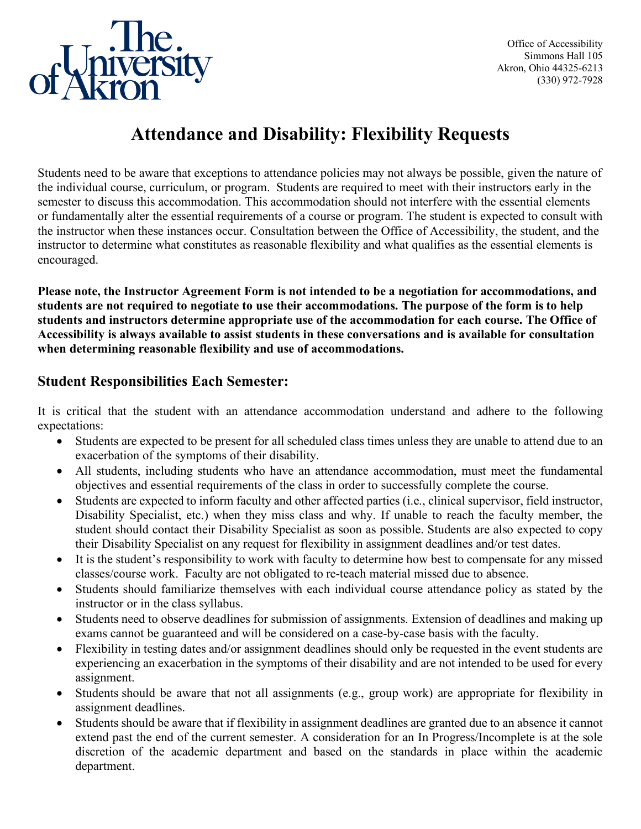

Office of Accessibility Simmons Hall 105 Akron, Ohio 44325-6213 (330) 972-7928

## **Attendance and Disability: Flexibility Requests**

Students need to be aware that exceptions to attendance policies may not always be possible, given the nature of the individual course, curriculum, or program. Students are required to meet with their instructors early in the semester to discuss this accommodation. This accommodation should not interfere with the essential elements or fundamentally alter the essential requirements of a course or program. The student is expected to consult with the instructor when these instances occur. Consultation between the Office of Accessibility, the student, and the instructor to determine what constitutes as reasonable flexibility and what qualifies as the essential elements is encouraged.

**Please note, the Instructor Agreement Form is not intended to be a negotiation for accommodations, and students are not required to negotiate to use their accommodations. The purpose of the form is to help students and instructors determine appropriate use of the accommodation for each course. The Office of Accessibility is always available to assist students in these conversations and is available for consultation when determining reasonable flexibility and use of accommodations.**

## **Student Responsibilities Each Semester:**

It is critical that the student with an attendance accommodation understand and adhere to the following expectations:

- Students are expected to be present for all scheduled class times unless they are unable to attend due to an exacerbation of the symptoms of their disability.
- All students, including students who have an attendance accommodation, must meet the fundamental objectives and essential requirements of the class in order to successfully complete the course.
- Students are expected to inform faculty and other affected parties (i.e., clinical supervisor, field instructor, Disability Specialist, etc.) when they miss class and why. If unable to reach the faculty member, the student should contact their Disability Specialist as soon as possible. Students are also expected to copy their Disability Specialist on any request for flexibility in assignment deadlines and/or test dates.
- It is the student's responsibility to work with faculty to determine how best to compensate for any missed classes/course work. Faculty are not obligated to re-teach material missed due to absence.
- Students should familiarize themselves with each individual course attendance policy as stated by the instructor or in the class syllabus.
- Students need to observe deadlines for submission of assignments. Extension of deadlines and making up exams cannot be guaranteed and will be considered on a case-by-case basis with the faculty.
- Flexibility in testing dates and/or assignment deadlines should only be requested in the event students are experiencing an exacerbation in the symptoms of their disability and are not intended to be used for every assignment.
- Students should be aware that not all assignments (e.g., group work) are appropriate for flexibility in assignment deadlines.
- Students should be aware that if flexibility in assignment deadlines are granted due to an absence it cannot extend past the end of the current semester. A consideration for an In Progress/Incomplete is at the sole discretion of the academic department and based on the standards in place within the academic department.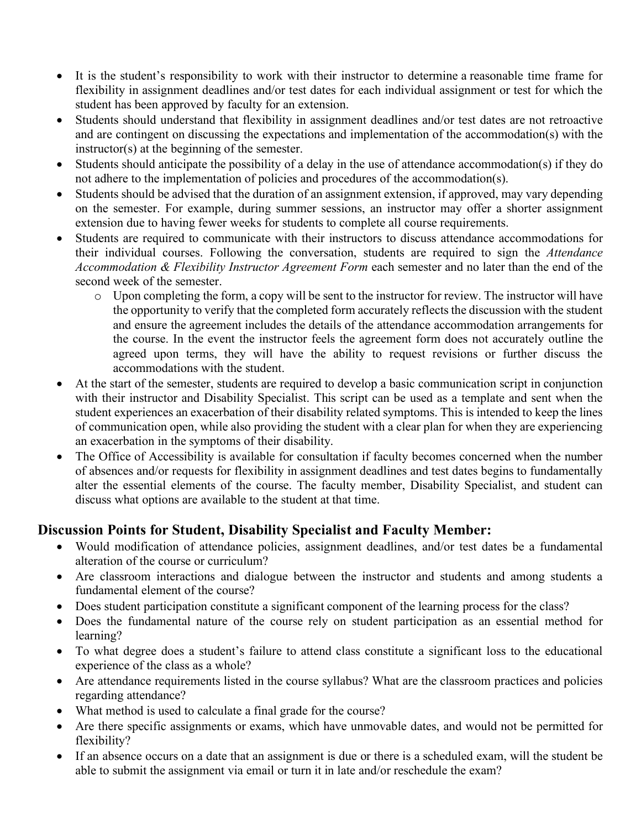- It is the student's responsibility to work with their instructor to determine a reasonable time frame for flexibility in assignment deadlines and/or test dates for each individual assignment or test for which the student has been approved by faculty for an extension.
- Students should understand that flexibility in assignment deadlines and/or test dates are not retroactive and are contingent on discussing the expectations and implementation of the accommodation(s) with the instructor(s) at the beginning of the semester.
- Students should anticipate the possibility of a delay in the use of attendance accommodation(s) if they do not adhere to the implementation of policies and procedures of the accommodation(s).
- Students should be advised that the duration of an assignment extension, if approved, may vary depending on the semester. For example, during summer sessions, an instructor may offer a shorter assignment extension due to having fewer weeks for students to complete all course requirements.
- Students are required to communicate with their instructors to discuss attendance accommodations for their individual courses. Following the conversation, students are required to sign the *Attendance Accommodation & Flexibility Instructor Agreement Form* each semester and no later than the end of the second week of the semester.
	- o Upon completing the form, a copy will be sent to the instructor for review. The instructor will have the opportunity to verify that the completed form accurately reflects the discussion with the student and ensure the agreement includes the details of the attendance accommodation arrangements for the course. In the event the instructor feels the agreement form does not accurately outline the agreed upon terms, they will have the ability to request revisions or further discuss the accommodations with the student.
- At the start of the semester, students are required to develop a basic communication script in conjunction with their instructor and Disability Specialist. This script can be used as a template and sent when the student experiences an exacerbation of their disability related symptoms. This is intended to keep the lines of communication open, while also providing the student with a clear plan for when they are experiencing an exacerbation in the symptoms of their disability.
- The Office of Accessibility is available for consultation if faculty becomes concerned when the number of absences and/or requests for flexibility in assignment deadlines and test dates begins to fundamentally alter the essential elements of the course. The faculty member, Disability Specialist, and student can discuss what options are available to the student at that time.

## **Discussion Points for Student, Disability Specialist and Faculty Member:**

- Would modification of attendance policies, assignment deadlines, and/or test dates be a fundamental alteration of the course or curriculum?
- Are classroom interactions and dialogue between the instructor and students and among students a fundamental element of the course?
- Does student participation constitute a significant component of the learning process for the class?
- Does the fundamental nature of the course rely on student participation as an essential method for learning?
- To what degree does a student's failure to attend class constitute a significant loss to the educational experience of the class as a whole?
- Are attendance requirements listed in the course syllabus? What are the classroom practices and policies regarding attendance?
- What method is used to calculate a final grade for the course?
- Are there specific assignments or exams, which have unmovable dates, and would not be permitted for flexibility?
- If an absence occurs on a date that an assignment is due or there is a scheduled exam, will the student be able to submit the assignment via email or turn it in late and/or reschedule the exam?